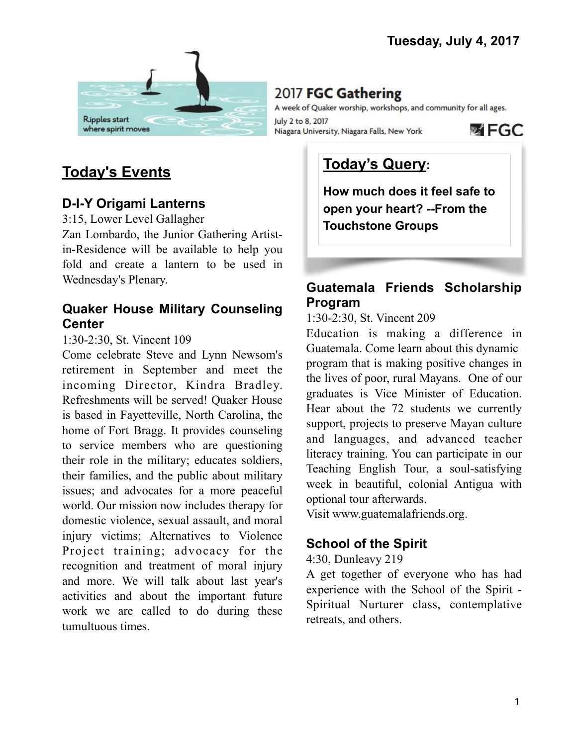

# 2017 FGC Gathering

A week of Quaker worship, workshops, and community for all ages. July 2 to 8, 2017 **函 FGC** Niagara University, Niagara Falls, New York

# **Today's Events**

## **D-I-Y Origami Lanterns**

3:15, Lower Level Gallagher

Zan Lombardo, the Junior Gathering Artistin-Residence will be available to help you fold and create a lantern to be used in Wednesday's Plenary.

### **Quaker House Military Counseling Center**

#### 1:30-2:30, St. Vincent 109

Come celebrate Steve and Lynn Newsom's retirement in September and meet the incoming Director, Kindra Bradley. Refreshments will be served! Quaker House is based in Fayetteville, North Carolina, the home of Fort Bragg. It provides counseling to service members who are questioning their role in the military; educates soldiers, their families, and the public about military issues; and advocates for a more peaceful world. Our mission now includes therapy for domestic violence, sexual assault, and moral injury victims; Alternatives to Violence Project training; advocacy for the recognition and treatment of moral injury and more. We will talk about last year's activities and about the important future work we are called to do during these tumultuous times.

# **Today's Query:**

**How much does it feel safe to open your heart? --From the Touchstone Groups**

# **Guatemala Friends Scholarship Program**

1:30-2:30, St. Vincent 209

Education is making a difference in Guatemala. Come learn about this dynamic program that is making positive changes in the lives of poor, rural Mayans. One of our graduates is Vice Minister of Education. Hear about the 72 students we currently support, projects to preserve Mayan culture and languages, and advanced teacher literacy training. You can participate in our Teaching English Tour, a soul-satisfying week in beautiful, colonial Antigua with optional tour afterwards.

Visit [www.guatemalafriends.org](http://www.guatemalafriends.org).

# **School of the Spirit**

#### 4:30, Dunleavy 219

A get together of everyone who has had experience with the School of the Spirit - Spiritual Nurturer class, contemplative retreats, and others.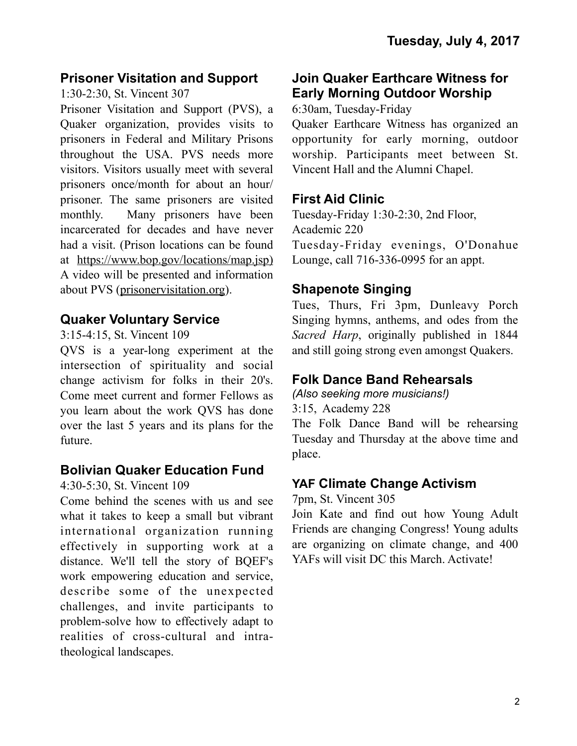### **Prisoner Visitation and Support**

1:30-2:30, St. Vincent 307

Prisoner Visitation and Support (PVS), a Quaker organization, provides visits to prisoners in Federal and Military Prisons throughout the USA. PVS needs more visitors. Visitors usually meet with several prisoners once/month for about an hour/ prisoner. The same prisoners are visited monthly. Many prisoners have been incarcerated for decades and have never had a visit. (Prison locations can be found at [https://www.bop.gov/locations/map.jsp\)](https://www.bop.gov/locations/map.jsp)) A video will be presented and information about PVS ([prisonervisitation.org\)](http://prisonervisitation.org).

# **Quaker Voluntary Service**

3:15-4:15, St. Vincent 109

QVS is a year-long experiment at the intersection of spirituality and social change activism for folks in their 20's. Come meet current and former Fellows as you learn about the work QVS has done over the last 5 years and its plans for the future.

## **Bolivian Quaker Education Fund**

4:30-5:30, St. Vincent 109

Come behind the scenes with us and see what it takes to keep a small but vibrant international organization running effectively in supporting work at a distance. We'll tell the story of BQEF's work empowering education and service, describe some of the unexpected challenges, and invite participants to problem-solve how to effectively adapt to realities of cross-cultural and intratheological landscapes.

# **Join Quaker Earthcare Witness for Early Morning Outdoor Worship**

6:30am, Tuesday-Friday

Quaker Earthcare Witness has organized an opportunity for early morning, outdoor worship. Participants meet between St. Vincent Hall and the Alumni Chapel.

## **First Aid Clinic**

Tuesday-Friday 1:30-2:30, 2nd Floor, Academic 220 Tuesday-Friday evenings, O'Donahue Lounge, call 716-336-0995 for an appt.

## **Shapenote Singing**

Tues, Thurs, Fri 3pm, Dunleavy Porch Singing hymns, anthems, and odes from the *Sacred Harp*, originally published in 1844 and still going strong even amongst Quakers.

# **Folk Dance Band Rehearsals**

*(Also seeking more musicians!)* 3:15, Academy 228 The Folk Dance Band will be rehearsing Tuesday and Thursday at the above time and place.

## **YAF Climate Change Activism**

7pm, St. Vincent 305

Join Kate and find out how Young Adult Friends are changing Congress! Young adults are organizing on climate change, and 400 YAFs will visit DC this March. Activate!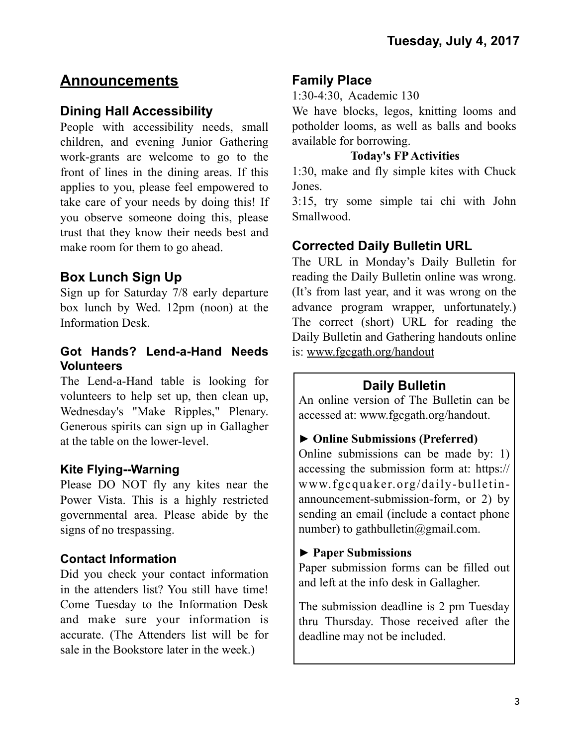# **Announcements**

### **Dining Hall Accessibility**

People with accessibility needs, small children, and evening Junior Gathering work-grants are welcome to go to the front of lines in the dining areas. If this applies to you, please feel empowered to take care of your needs by doing this! If you observe someone doing this, please trust that they know their needs best and make room for them to go ahead.

## **Box Lunch Sign Up**

Sign up for Saturday 7/8 early departure box lunch by Wed. 12pm (noon) at the Information Desk.

#### **Got Hands? Lend-a-Hand Needs Volunteers**

The Lend-a-Hand table is looking for volunteers to help set up, then clean up, Wednesday's "Make Ripples," Plenary. Generous spirits can sign up in Gallagher at the table on the lower-level.

#### **Kite Flying--Warning**

Please DO NOT fly any kites near the Power Vista. This is a highly restricted governmental area. Please abide by the signs of no trespassing.

#### **Contact Information**

Did you check your contact information in the attenders list? You still have time! Come Tuesday to the Information Desk and make sure your information is accurate. (The Attenders list will be for sale in the Bookstore later in the week.)

### **Family Place**

1:30-4:30, Academic 130

We have blocks, legos, knitting looms and potholder looms, as well as balls and books available for borrowing.

#### **Today's FP Activities**

1:30, make and fly simple kites with Chuck Jones.

3:15, try some simple tai chi with John Smallwood.

## **Corrected Daily Bulletin URL**

The URL in Monday's Daily Bulletin for reading the Daily Bulletin online was wrong. (It's from last year, and it was wrong on the advance program wrapper, unfortunately.) The correct (short) URL for reading the Daily Bulletin and Gathering handouts online is: [www.fgcgath.org/handout](http://www.fgcgath.org/handout)

## **Daily Bulletin**

An online version of The Bulletin can be accessed at: www.fgcgath.org/handout.

#### ► **Online Submissions (Preferred)**

Online submissions can be made by: 1) accessing the submission form at: [https://](https://www.fgcquaker.org/daily-bulletin-announcement-submission-form) [www.fgcquaker.org/daily-bulletin](https://www.fgcquaker.org/daily-bulletin-announcement-submission-form)[announcement-submission-form](https://www.fgcquaker.org/daily-bulletin-announcement-submission-form), or 2) by sending an email (include a contact phone number) to gathbulletin $@g$ gmail.com.

#### ► **Paper Submissions**

Paper submission forms can be filled out and left at the info desk in Gallagher.

The submission deadline is 2 pm Tuesday thru Thursday. Those received after the deadline may not be included.